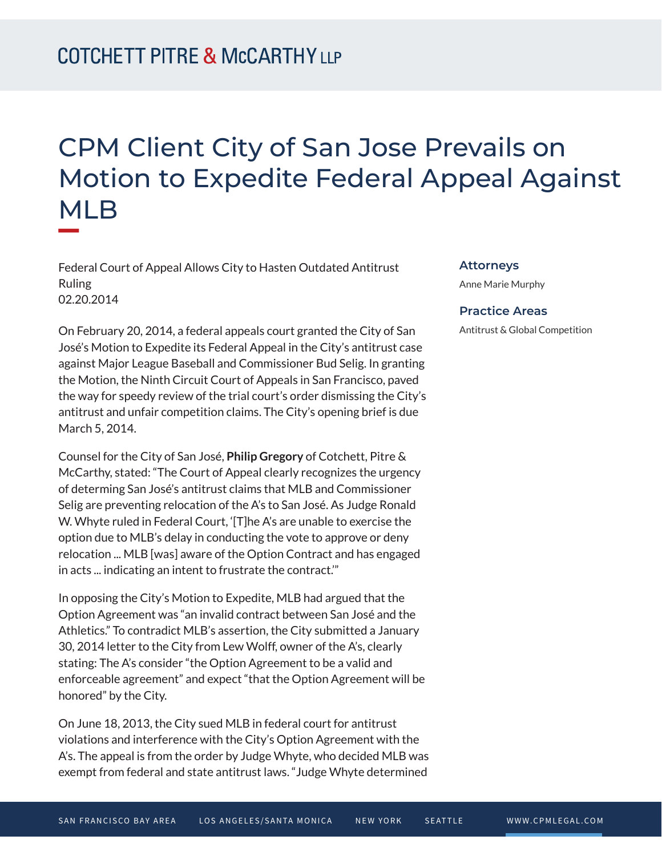## CPM Client City of San Jose Prevails on Motion to Expedite Federal Appeal Against MLB

Federal Court of Appeal Allows City to Hasten Outdated Antitrust Ruling 02.20.2014

On February 20, 2014, a federal appeals court granted the City of San José's Motion to Expedite its Federal Appeal in the City's antitrust case against Major League Baseball and Commissioner Bud Selig. In granting the Motion, the Ninth Circuit Court of Appeals in San Francisco, paved the way for speedy review of the trial court's order dismissing the City's antitrust and unfair competition claims. The City's opening brief is due March 5, 2014.

Counsel for the City of San José, **Philip Gregory** of Cotchett, Pitre & McCarthy, stated: "The Court of Appeal clearly recognizes the urgency of determing San José's antitrust claims that MLB and Commissioner Selig are preventing relocation of the A's to San José. As Judge Ronald W. Whyte ruled in Federal Court, '[T]he A's are unable to exercise the option due to MLB's delay in conducting the vote to approve or deny relocation ... MLB [was] aware of the Option Contract and has engaged in acts ... indicating an intent to frustrate the contract.'"

In opposing the City's Motion to Expedite, MLB had argued that the Option Agreement was "an invalid contract between San José and the Athletics." To contradict MLB's assertion, the City submitted a January 30, 2014 letter to the City from Lew Wolff, owner of the A's, clearly stating: The A's consider "the Option Agreement to be a valid and enforceable agreement" and expect "that the Option Agreement will be honored" by the City.

On June 18, 2013, the City sued MLB in federal court for antitrust violations and interference with the City's Option Agreement with the A's. The appeal is from the order by Judge Whyte, who decided MLB was exempt from federal and state antitrust laws. "Judge Whyte determined

## **Attorneys**

Anne Marie Murphy

## **Practice Areas**

Antitrust & Global Competition